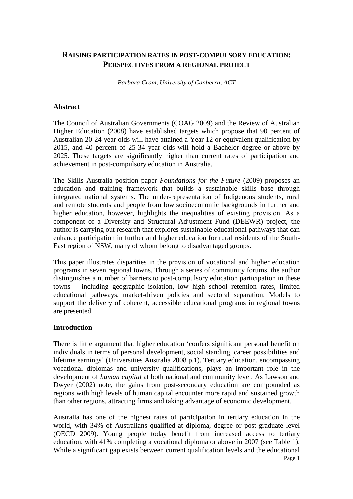# **RAISING PARTICIPATION RATES IN POST-COMPULSORY EDUCATION: PERSPECTIVES FROM A REGIONAL PROJECT**

*Barbara Cram, University of Canberra, ACT* 

#### **Abstract**

The Council of Australian Governments (COAG 2009) and the Review of Australian Higher Education (2008) have established targets which propose that 90 percent of Australian 20-24 year olds will have attained a Year 12 or equivalent qualification by 2015, and 40 percent of 25-34 year olds will hold a Bachelor degree or above by 2025. These targets are significantly higher than current rates of participation and achievement in post-compulsory education in Australia.

The Skills Australia position paper *Foundations for the Future* (2009) proposes an education and training framework that builds a sustainable skills base through integrated national systems. The under-representation of Indigenous students, rural and remote students and people from low socioeconomic backgrounds in further and higher education, however, highlights the inequalities of existing provision. As a component of a Diversity and Structural Adjustment Fund (DEEWR) project, the author is carrying out research that explores sustainable educational pathways that can enhance participation in further and higher education for rural residents of the South-East region of NSW, many of whom belong to disadvantaged groups.

This paper illustrates disparities in the provision of vocational and higher education programs in seven regional towns. Through a series of community forums, the author distinguishes a number of barriers to post-compulsory education participation in these towns – including geographic isolation, low high school retention rates, limited educational pathways, market-driven policies and sectoral separation. Models to support the delivery of coherent, accessible educational programs in regional towns are presented.

#### **Introduction**

There is little argument that higher education 'confers significant personal benefit on individuals in terms of personal development, social standing, career possibilities and lifetime earnings' (Universities Australia 2008 p.1). Tertiary education, encompassing vocational diplomas and university qualifications, plays an important role in the development of *human capital* at both national and community level. As Lawson and Dwyer (2002) note, the gains from post-secondary education are compounded as regions with high levels of human capital encounter more rapid and sustained growth than other regions, attracting firms and taking advantage of economic development.

Australia has one of the highest rates of participation in tertiary education in the world, with 34% of Australians qualified at diploma, degree or post-graduate level (OECD 2009). Young people today benefit from increased access to tertiary education, with 41% completing a vocational diploma or above in 2007 (see Table 1). While a significant gap exists between current qualification levels and the educational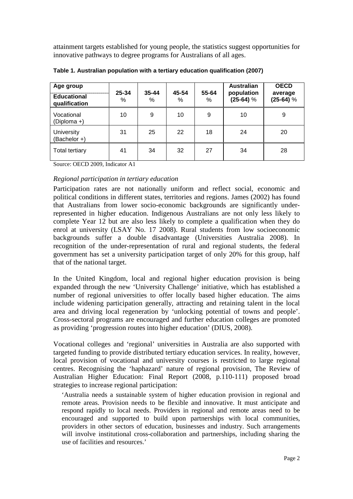attainment targets established for young people, the statistics suggest opportunities for innovative pathways to degree programs for Australians of all ages.

| Age group<br><b>Educational</b><br>qualification | 25-34<br>% | $35 - 44$<br>% | 45-54<br>% | 55-64<br>% | <b>Australian</b><br>population<br>$(25-64)$ % | <b>OECD</b><br>average<br>$(25-64)$ % |
|--------------------------------------------------|------------|----------------|------------|------------|------------------------------------------------|---------------------------------------|
| Vocational<br>(Diploma +)                        | 10         | 9              | 10         | 9          | 10                                             | 9                                     |
| <b>University</b><br>(Bachelor +)                | 31         | 25             | 22         | 18         | 24                                             | 20                                    |
| <b>Total tertiary</b>                            | 41         | 34             | 32         | 27         | 34                                             | 28                                    |

**Table 1. Australian population with a tertiary education qualification (2007)** 

Source: OECD 2009, Indicator A1

### *Regional participation in tertiary education*

Participation rates are not nationally uniform and reflect social, economic and political conditions in different states, territories and regions. James (2002) has found that Australians from lower socio-economic backgrounds are significantly underrepresented in higher education. Indigenous Australians are not only less likely to complete Year 12 but are also less likely to complete a qualification when they do enrol at university (LSAY No. 17 2008). Rural students from low socioeconomic backgrounds suffer a double disadvantage (Universities Australia 2008). In recognition of the under-representation of rural and regional students, the federal government has set a university participation target of only 20% for this group, half that of the national target.

In the United Kingdom, local and regional higher education provision is being expanded through the new 'University Challenge' initiative, which has established a number of regional universities to offer locally based higher education. The aims include widening participation generally, attracting and retaining talent in the local area and driving local regeneration by 'unlocking potential of towns and people'. Cross-sectoral programs are encouraged and further education colleges are promoted as providing 'progression routes into higher education' (DIUS, 2008).

Vocational colleges and 'regional' universities in Australia are also supported with targeted funding to provide distributed tertiary education services. In reality, however, local provision of vocational and university courses is restricted to large regional centres. Recognising the 'haphazard' nature of regional provision, The Review of Australian Higher Education: Final Report (2008, p.110-111) proposed broad strategies to increase regional participation:

'Australia needs a sustainable system of higher education provision in regional and remote areas. Provision needs to be flexible and innovative. It must anticipate and respond rapidly to local needs. Providers in regional and remote areas need to be encouraged and supported to build upon partnerships with local communities, providers in other sectors of education, businesses and industry. Such arrangements will involve institutional cross-collaboration and partnerships, including sharing the use of facilities and resources.'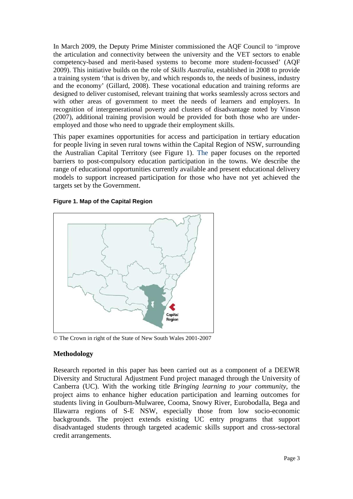In March 2009, the Deputy Prime Minister commissioned the AQF Council to 'improve the articulation and connectivity between the university and the VET sectors to enable competency-based and merit-based systems to become more student-focussed' (AQF 2009). This initiative builds on the role of *Skills Australia*, established in 2008 to provide a training system 'that is driven by, and which responds to, the needs of business, industry and the economy' (Gillard, 2008). These vocational education and training reforms are designed to deliver customised, relevant training that works seamlessly across sectors and with other areas of government to meet the needs of learners and employers. In recognition of intergenerational poverty and clusters of disadvantage noted by Vinson (2007), additional training provision would be provided for both those who are underemployed and those who need to upgrade their employment skills.

This paper examines opportunities for access and participation in tertiary education for people living in seven rural towns within the Capital Region of NSW, surrounding the Australian Capital Territory (see Figure 1). The paper focuses on the reported barriers to post-compulsory education participation in the towns. We describe the range of educational opportunities currently available and present educational delivery models to support increased participation for those who have not yet achieved the targets set by the Government.





© The Crown in right of the State of New South Wales 2001-2007

# **Methodology**

Research reported in this paper has been carried out as a component of a DEEWR Diversity and Structural Adjustment Fund project managed through the University of Canberra (UC). With the working title *Bringing learning to your community*, the project aims to enhance higher education participation and learning outcomes for students living in Goulburn-Mulwaree, Cooma, Snowy River, Eurobodalla, Bega and Illawarra regions of S-E NSW, especially those from low socio-economic backgrounds. The project extends existing UC entry programs that support disadvantaged students through targeted academic skills support and cross-sectoral credit arrangements.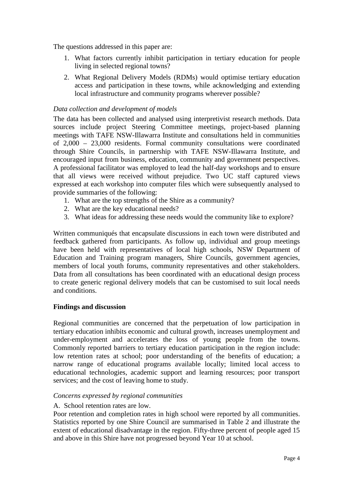The questions addressed in this paper are:

- 1. What factors currently inhibit participation in tertiary education for people living in selected regional towns?
- 2. What Regional Delivery Models (RDMs) would optimise tertiary education access and participation in these towns, while acknowledging and extending local infrastructure and community programs wherever possible?

### *Data collection and development of models*

The data has been collected and analysed using interpretivist research methods. Data sources include project Steering Committee meetings, project-based planning meetings with TAFE NSW-Illawarra Institute and consultations held in communities of 2,000 – 23,000 residents. Formal community consultations were coordinated through Shire Councils, in partnership with TAFE NSW-Illawarra Institute, and encouraged input from business, education, community and government perspectives. A professional facilitator was employed to lead the half-day workshops and to ensure that all views were received without prejudice. Two UC staff captured views expressed at each workshop into computer files which were subsequently analysed to provide summaries of the following:

- 1. What are the top strengths of the Shire as a community?
- 2. What are the key educational needs?
- 3. What ideas for addressing these needs would the community like to explore?

Written communiqués that encapsulate discussions in each town were distributed and feedback gathered from participants. As follow up, individual and group meetings have been held with representatives of local high schools, NSW Department of Education and Training program managers, Shire Councils, government agencies, members of local youth forums, community representatives and other stakeholders. Data from all consultations has been coordinated with an educational design process to create generic regional delivery models that can be customised to suit local needs and conditions.

#### **Findings and discussion**

Regional communities are concerned that the perpetuation of low participation in tertiary education inhibits economic and cultural growth, increases unemployment and under-employment and accelerates the loss of young people from the towns. Commonly reported barriers to tertiary education participation in the region include: low retention rates at school; poor understanding of the benefits of education; a narrow range of educational programs available locally; limited local access to educational technologies, academic support and learning resources; poor transport services; and the cost of leaving home to study.

#### *Concerns expressed by regional communities*

#### A. School retention rates are low.

Poor retention and completion rates in high school were reported by all communities. Statistics reported by one Shire Council are summarised in Table 2 and illustrate the extent of educational disadvantage in the region. Fifty-three percent of people aged 15 and above in this Shire have not progressed beyond Year 10 at school.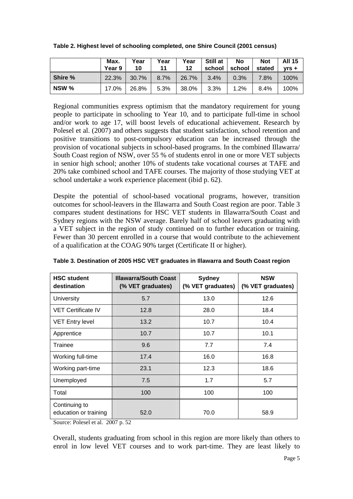| Table 2. Highest level of schooling completed, one Shire Council (2001 census) |  |  |
|--------------------------------------------------------------------------------|--|--|
|--------------------------------------------------------------------------------|--|--|

|         | Max.<br>Year 9 | Year<br>10 | Year<br>11 | Year<br>12 | Still at<br>school | No<br>school | <b>Not</b><br>stated | <b>All 15</b><br>$Vrs +$ |
|---------|----------------|------------|------------|------------|--------------------|--------------|----------------------|--------------------------|
| Shire % | 22.3%          | $30.7\%$   | 8.7%       | 26.7%      | $3.4\%$            | $0.3\%$      | 7.8%                 | 100%                     |
| NSW %   | 17.0%          | 26.8%      | 5.3%       | 38.0%      | $3.3\%$            | 1.2%         | 8.4%                 | 100%                     |

Regional communities express optimism that the mandatory requirement for young people to participate in schooling to Year 10, and to participate full-time in school and/or work to age 17, will boost levels of educational achievement. Research by Polesel et al. (2007) and others suggests that student satisfaction, school retention and positive transitions to post-compulsory education can be increased through the provision of vocational subjects in school-based programs. In the combined Illawarra/ South Coast region of NSW, over 55 % of students enrol in one or more VET subjects in senior high school; another 10% of students take vocational courses at TAFE and 20% take combined school and TAFE courses. The majority of those studying VET at school undertake a work experience placement (ibid p. 62).

Despite the potential of school-based vocational programs, however, transition outcomes for school-leavers in the Illawarra and South Coast region are poor. Table 3 compares student destinations for HSC VET students in Illawarra/South Coast and Sydney regions with the NSW average. Barely half of school leavers graduating with a VET subject in the region of study continued on to further education or training. Fewer than 30 percent enrolled in a course that would contribute to the achievement of a qualification at the COAG 90% target (Certificate II or higher).

| <b>HSC student</b><br>destination                              | <b>Illawarra/South Coast</b><br>(% VET graduates) | <b>Sydney</b><br>(% VET graduates) | <b>NSW</b><br>(% VET graduates) |
|----------------------------------------------------------------|---------------------------------------------------|------------------------------------|---------------------------------|
| University                                                     | 5.7                                               | 13.0                               | 12.6                            |
| <b>VET Certificate IV</b>                                      | 12.8                                              | 28.0                               | 18.4                            |
| <b>VET Entry level</b>                                         | 13.2                                              | 10.7                               | 10.4                            |
| Apprentice                                                     | 10.7                                              | 10.7                               | 10.1                            |
| Trainee                                                        | 9.6                                               | 7.7                                | 7.4                             |
| Working full-time                                              | 17.4                                              | 16.0                               | 16.8                            |
| Working part-time                                              | 23.1                                              | 12.3                               | 18.6                            |
| Unemployed                                                     | 7.5                                               | 1.7                                | 5.7                             |
| Total                                                          | 100                                               | 100                                | 100                             |
| Continuing to<br>education or training<br>$P_1$ 1 1 $A$ $0.07$ | 52.0<br>$\sim$                                    | 70.0                               | 58.9                            |

**Table 3. Destination of 2005 HSC VET graduates in Illawarra and South Coast region** 

Source: Polesel et al. 2007 p. 52

Overall, students graduating from school in this region are more likely than others to enrol in low level VET courses and to work part-time. They are least likely to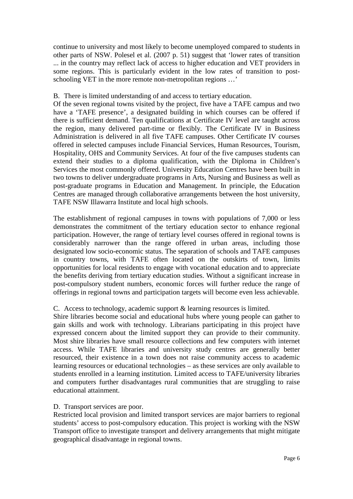continue to university and most likely to become unemployed compared to students in other parts of NSW. Polesel et al. (2007 p. 51) suggest that 'lower rates of transition ... in the country may reflect lack of access to higher education and VET providers in some regions. This is particularly evident in the low rates of transition to postschooling VET in the more remote non-metropolitan regions …'

### B. There is limited understanding of and access to tertiary education.

Of the seven regional towns visited by the project, five have a TAFE campus and two have a 'TAFE presence', a designated building in which courses can be offered if there is sufficient demand. Ten qualifications at Certificate IV level are taught across the region, many delivered part-time or flexibly. The Certificate IV in Business Administration is delivered in all five TAFE campuses. Other Certificate IV courses offered in selected campuses include Financial Services, Human Resources, Tourism, Hospitality, OHS and Community Services. At four of the five campuses students can extend their studies to a diploma qualification, with the Diploma in Children's Services the most commonly offered. University Education Centres have been built in two towns to deliver undergraduate programs in Arts, Nursing and Business as well as post-graduate programs in Education and Management. In principle, the Education Centres are managed through collaborative arrangements between the host university, TAFE NSW Illawarra Institute and local high schools.

The establishment of regional campuses in towns with populations of 7,000 or less demonstrates the commitment of the tertiary education sector to enhance regional participation. However, the range of tertiary level courses offered in regional towns is considerably narrower than the range offered in urban areas, including those designated low socio-economic status. The separation of schools and TAFE campuses in country towns, with TAFE often located on the outskirts of town, limits opportunities for local residents to engage with vocational education and to appreciate the benefits deriving from tertiary education studies. Without a significant increase in post-compulsory student numbers, economic forces will further reduce the range of offerings in regional towns and participation targets will become even less achievable.

# C. Access to technology, academic support & learning resources is limited.

Shire libraries become social and educational hubs where young people can gather to gain skills and work with technology. Librarians participating in this project have expressed concern about the limited support they can provide to their community. Most shire libraries have small resource collections and few computers with internet access. While TAFE libraries and university study centres are generally better resourced, their existence in a town does not raise community access to academic learning resources or educational technologies – as these services are only available to students enrolled in a learning institution. Limited access to TAFE/university libraries and computers further disadvantages rural communities that are struggling to raise educational attainment.

# D. Transport services are poor.

Restricted local provision and limited transport services are major barriers to regional students' access to post-compulsory education. This project is working with the NSW Transport office to investigate transport and delivery arrangements that might mitigate geographical disadvantage in regional towns.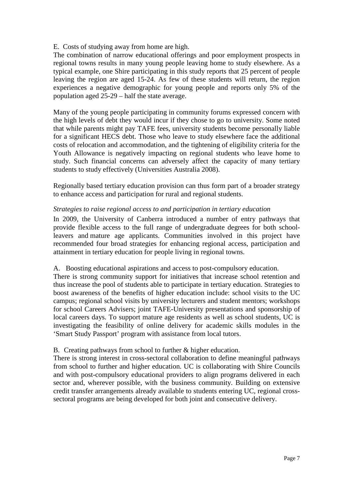### E. Costs of studying away from home are high.

The combination of narrow educational offerings and poor employment prospects in regional towns results in many young people leaving home to study elsewhere. As a typical example, one Shire participating in this study reports that 25 percent of people leaving the region are aged 15-24. As few of these students will return, the region experiences a negative demographic for young people and reports only 5% of the population aged 25-29 – half the state average.

Many of the young people participating in community forums expressed concern with the high levels of debt they would incur if they chose to go to university. Some noted that while parents might pay TAFE fees, university students become personally liable for a significant HECS debt. Those who leave to study elsewhere face the additional costs of relocation and accommodation, and the tightening of eligibility criteria for the Youth Allowance is negatively impacting on regional students who leave home to study. Such financial concerns can adversely affect the capacity of many tertiary students to study effectively (Universities Australia 2008).

Regionally based tertiary education provision can thus form part of a broader strategy to enhance access and participation for rural and regional students.

### *Strategies to raise regional access to and participation in tertiary education*

In 2009, the University of Canberra introduced a number of entry pathways that provide flexible access to the full range of undergraduate degrees for both schoolleavers and mature age applicants. Communities involved in this project have recommended four broad strategies for enhancing regional access, participation and attainment in tertiary education for people living in regional towns.

#### A. Boosting educational aspirations and access to post-compulsory education.

There is strong community support for initiatives that increase school retention and thus increase the pool of students able to participate in tertiary education. Strategies to boost awareness of the benefits of higher education include: school visits to the UC campus; regional school visits by university lecturers and student mentors; workshops for school Careers Advisers; joint TAFE-University presentations and sponsorship of local careers days. To support mature age residents as well as school students, UC is investigating the feasibility of online delivery for academic skills modules in the 'Smart Study Passport' program with assistance from local tutors.

# B. Creating pathways from school to further & higher education.

There is strong interest in cross-sectoral collaboration to define meaningful pathways from school to further and higher education. UC is collaborating with Shire Councils and with post-compulsory educational providers to align programs delivered in each sector and, wherever possible, with the business community. Building on extensive credit transfer arrangements already available to students entering UC, regional crosssectoral programs are being developed for both joint and consecutive delivery.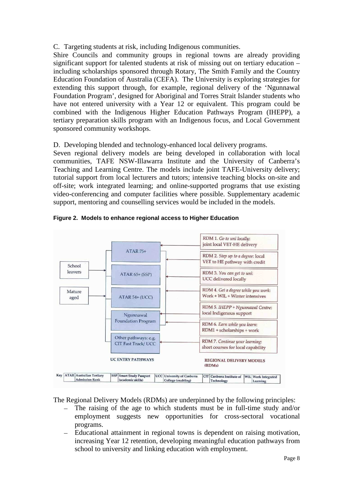# C. Targeting students at risk, including Indigenous communities.

Shire Councils and community groups in regional towns are already providing significant support for talented students at risk of missing out on tertiary education – including scholarships sponsored through Rotary, The Smith Family and the Country Education Foundation of Australia (CEFA). The University is exploring strategies for extending this support through, for example, regional delivery of the 'Ngunnawal Foundation Program', designed for Aboriginal and Torres Strait Islander students who have not entered university with a Year 12 or equivalent. This program could be combined with the Indigenous Higher Education Pathways Program (IHEPP), a tertiary preparation skills program with an Indigenous focus, and Local Government sponsored community workshops.

D. Developing blended and technology-enhanced local delivery programs.

Seven regional delivery models are being developed in collaboration with local communities, TAFE NSW-Illawarra Institute and the University of Canberra's Teaching and Learning Centre. The models include joint TAFE-University delivery; tutorial support from local lecturers and tutors; intensive teaching blocks on-site and off-site; work integrated learning; and online-supported programs that use existing video-conferencing and computer facilities where possible. Supplementary academic support, mentoring and counselling services would be included in the models.



**Figure 2. Models to enhance regional access to Higher Education** 

The Regional Delivery Models (RDMs) are underpinned by the following principles:

- The raising of the age to which students must be in full-time study and/or employment suggests new opportunities for cross-sectoral vocational programs.
- Educational attainment in regional towns is dependent on raising motivation, increasing Year 12 retention, developing meaningful education pathways from school to university and linking education with employment.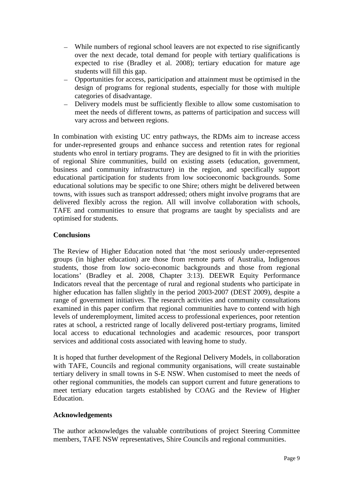- While numbers of regional school leavers are not expected to rise significantly over the next decade, total demand for people with tertiary qualifications is expected to rise (Bradley et al. 2008); tertiary education for mature age students will fill this gap.
- Opportunities for access, participation and attainment must be optimised in the design of programs for regional students, especially for those with multiple categories of disadvantage.
- Delivery models must be sufficiently flexible to allow some customisation to meet the needs of different towns, as patterns of participation and success will vary across and between regions.

In combination with existing UC entry pathways, the RDMs aim to increase access for under-represented groups and enhance success and retention rates for regional students who enrol in tertiary programs. They are designed to fit in with the priorities of regional Shire communities, build on existing assets (education, government, business and community infrastructure) in the region, and specifically support educational participation for students from low socioeconomic backgrounds. Some educational solutions may be specific to one Shire; others might be delivered between towns, with issues such as transport addressed; others might involve programs that are delivered flexibly across the region. All will involve collaboration with schools, TAFE and communities to ensure that programs are taught by specialists and are optimised for students.

#### **Conclusions**

The Review of Higher Education noted that 'the most seriously under-represented groups (in higher education) are those from remote parts of Australia, Indigenous students, those from low socio-economic backgrounds and those from regional locations' (Bradley et al. 2008, Chapter 3:13). DEEWR Equity Performance Indicators reveal that the percentage of rural and regional students who participate in higher education has fallen slightly in the period 2003-2007 (DEST 2009), despite a range of government initiatives. The research activities and community consultations examined in this paper confirm that regional communities have to contend with high levels of underemployment, limited access to professional experiences, poor retention rates at school, a restricted range of locally delivered post-tertiary programs, limited local access to educational technologies and academic resources, poor transport services and additional costs associated with leaving home to study.

It is hoped that further development of the Regional Delivery Models, in collaboration with TAFE, Councils and regional community organisations, will create sustainable tertiary delivery in small towns in S-E NSW. When customised to meet the needs of other regional communities, the models can support current and future generations to meet tertiary education targets established by COAG and the Review of Higher Education.

#### **Acknowledgements**

The author acknowledges the valuable contributions of project Steering Committee members, TAFE NSW representatives, Shire Councils and regional communities.